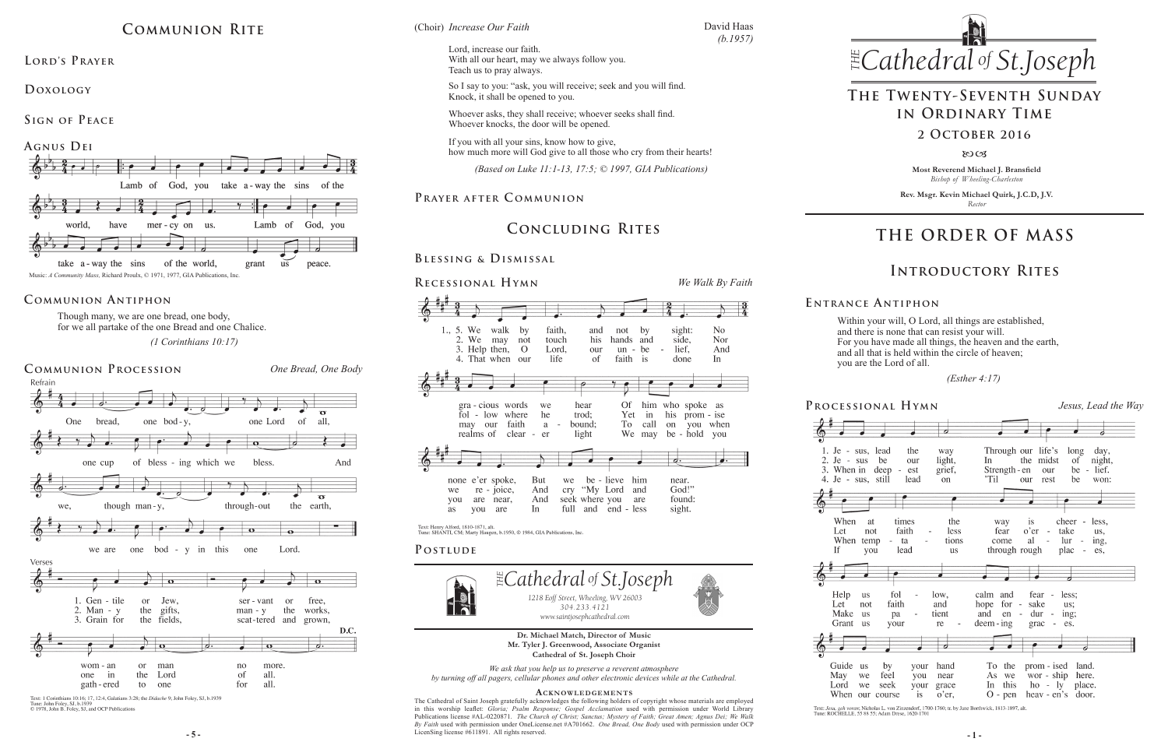**Most Reverend Michael J. Bransfield** *Bishop of Wheeling-Charleston*

**Rev. Msgr. Kevin Michael Quirk, J.C.D, J.V.** *Rector*



Within your will, O Lord, all things are established, and there is none that can resist your will. For you have made all things, the heaven and the earth, and all that is held within the circle of heaven; you are the Lord of all.

 *(Esther 4:17)* 

**-5 - 1** - **1** - **1** - **1** - **1** - **1** - **1** - **1** - **1** - **1** - **1** - **1** - **1** - **1** - **1** - **1** - **1** - **1** - **1** - **1** - **1** - **1** - **1** - **1** - **1** - **1** - **1** - **1** - **1** - **1** - **1** - **1** - **1** - **1** - **1** - **1** -The Cathedral of Saint Joseph gratefully acknowledges the following holders of copyright whose materials are employed in this worship leaflet: *Gloria; Psalm Response; Gospel Acclamation* used with permission under World Library Publications license #AL-0220871. *The Church of Christ; Sanctus; Mystery of Faith; Great Amen; Agnus Dei; We Walk By Faith* used with permission under OneLicense.net #A701662. *One Bread, One Body* used with permission under OCP LicenSing license #611891. All rights reserved.

*We ask that you help us to preserve a reverent atmosphere by turning off all pagers, cellular phones and other electronic devices while at the Cathedral.*

*<i>Choir Increase Our Faith Cathedral St THE*

#### **Acknowledgement s**



Text: 1 Corinthians 10:16; 17, 12:4, Galatians 3:28; the *Didache* 9; John Foley, SJ, b.1939<br>Tune: John Foley, SJ, b.1939<br>© 1978, John B. Foley, SJ, and OCP Publications



Though many, we are one bread, one body, for we all partake of the one Bread and one Chalice.  *(1 Corinthians 10:17)*

# **THE ORDER OF MASS**



Text: Jesu, geh voran; Nicholas L. von Zinzendorf, 1700-1760; tr. by Jane Borthwick, 1813-1897, alt.<br>Tune: ROCHELLE, 55 88 55; Adam Drese, 1620-1701

### **E ntrance A ntiphon**

2. Je - sus When Let



 $If$ 



Guide us May Lord

# **Introductory Rites**

# **The Twenty-Seventh Sunday in Ordinary Time**

### **2 October 2016**

8003

# **Communion Rite**

LORD'S PRAYER

## **Communion Antiphon**

# **Concluding Rites**

## **Blessing & Dismissal**

**Doxology** 

**Sign of Peace** 



David Haas *(b.1957)*

Lord, increase our faith. With all our heart, may we always follow you. Teach us to pray always.

So I say to you: "ask, you will receive; seek and you will find. Knock, it shall be opened to you.

Whoever asks, they shall receive; whoever seeks shall find. Whoever knocks, the door will be opened.

If you with all your sins, know how to give, how much more will God give to all those who cry from their hearts!

 *(Based on Luke 11:1-13, 17:5; © 1997, GIA Publications)*

## **Prayer after C ommunion**